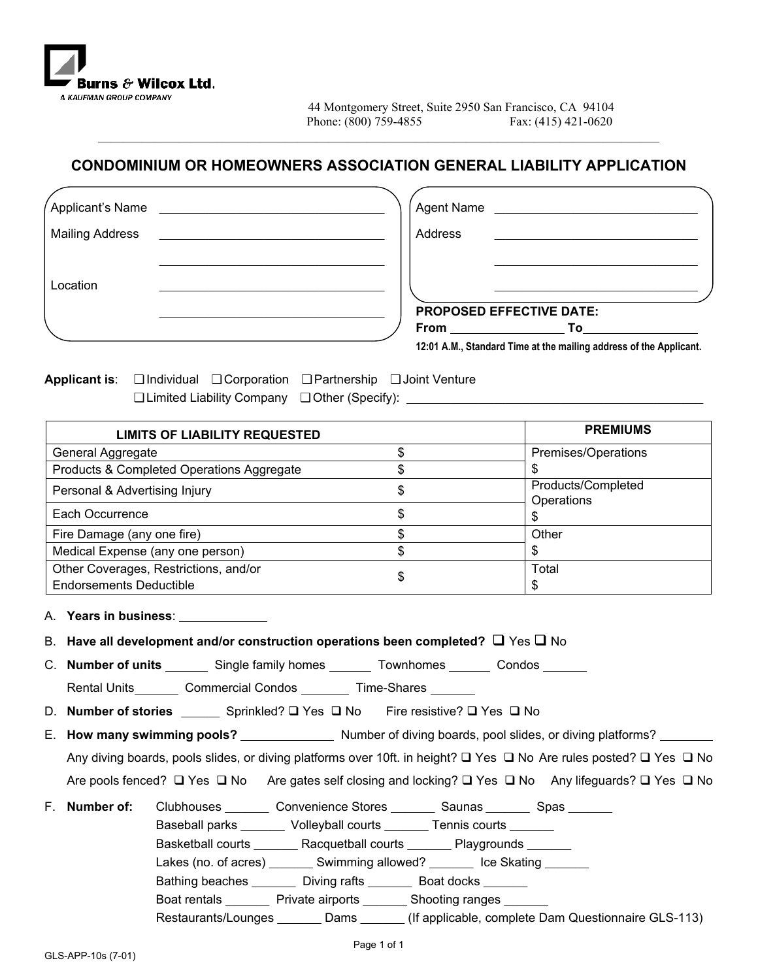

# **CONDOMINIUM OR HOMEOWNERS ASSOCIATION GENERAL LIABILITY APPLICATION**

 $\mathcal{L}_\mathcal{L} = \{ \mathcal{L}_\mathcal{L} = \{ \mathcal{L}_\mathcal{L} = \{ \mathcal{L}_\mathcal{L} = \{ \mathcal{L}_\mathcal{L} = \{ \mathcal{L}_\mathcal{L} = \{ \mathcal{L}_\mathcal{L} = \{ \mathcal{L}_\mathcal{L} = \{ \mathcal{L}_\mathcal{L} = \{ \mathcal{L}_\mathcal{L} = \{ \mathcal{L}_\mathcal{L} = \{ \mathcal{L}_\mathcal{L} = \{ \mathcal{L}_\mathcal{L} = \{ \mathcal{L}_\mathcal{L} = \{ \mathcal{L}_\mathcal{$ 

| Applicant's Name       | Agent Name                                                                                                                                                                                                                                                                                                                                         |
|------------------------|----------------------------------------------------------------------------------------------------------------------------------------------------------------------------------------------------------------------------------------------------------------------------------------------------------------------------------------------------|
| <b>Mailing Address</b> | Address                                                                                                                                                                                                                                                                                                                                            |
| Location               |                                                                                                                                                                                                                                                                                                                                                    |
|                        | <b>PROPOSED EFFECTIVE DATE:</b><br><b>From</b> the contract of the contract of the contract of the contract of the contract of the contract of the contract of the contract of the contract of the contract of the contract of the contract of the contract of the con<br>To<br>12:01 A.M., Standard Time at the mailing address of the Applicant. |

**Applicant is**: ❏ Individual ❏ Corporation ❏ Partnership ❏ Joint Venture ❏ Limited Liability Company ❏ Other (Specify): \_\_\_\_\_\_\_\_\_\_\_\_\_\_\_\_\_\_\_\_\_\_\_\_\_\_\_\_\_\_\_\_\_\_\_\_\_\_\_\_\_\_\_\_\_\_\_\_\_\_\_\_\_\_

| <b>LIMITS OF LIABILITY REQUESTED</b>      | <b>PREMIUMS</b> |                                  |  |
|-------------------------------------------|-----------------|----------------------------------|--|
| General Aggregate                         |                 | Premises/Operations              |  |
| Products & Completed Operations Aggregate |                 |                                  |  |
| Personal & Advertising Injury             | Φ               | Products/Completed<br>Operations |  |
| Each Occurrence                           |                 |                                  |  |
| Fire Damage (any one fire)                |                 | Other                            |  |
| Medical Expense (any one person)          | J               |                                  |  |
| Other Coverages, Restrictions, and/or     |                 | Total                            |  |
| <b>Endorsements Deductible</b>            |                 |                                  |  |

A. **Years in business**:

|  | B. Have all development and/or construction operations been completed? $\square$ Yes $\square$ No |  |  |  |  |  |  |  |
|--|---------------------------------------------------------------------------------------------------|--|--|--|--|--|--|--|
|--|---------------------------------------------------------------------------------------------------|--|--|--|--|--|--|--|

C. **Number of units** Single family homes Townhomes Condos

Rental Units Commercial Condos Time-Shares

D. **Number of stories** Sprinkled? □ Yes □ No Fire resistive? □ Yes □ No

E. How many swimming pools? Number of diving boards, pool slides, or diving platforms?

Any diving boards, pools slides, or diving platforms over 10ft. in height?  $\Box$  Yes  $\Box$  No Are rules posted?  $\Box$  Yes  $\Box$  No

- Are pools fenced?  $\Box$  Yes  $\Box$  No Are gates self closing and locking?  $\Box$  Yes  $\Box$  No Any lifeguards?  $\Box$  Yes  $\Box$  No
- F. **Number of:** Clubhouses \_\_\_\_\_\_\_\_ Convenience Stores \_\_\_\_\_\_\_ Saunas \_\_\_\_\_\_\_\_ Spas \_\_\_\_\_\_\_ Baseball parks \_\_\_\_\_\_\_ Volleyball courts \_\_\_\_\_\_\_ Tennis courts \_\_\_\_\_\_\_ Basketball courts \_\_\_\_\_\_\_\_ Racquetball courts \_\_\_\_\_\_\_ Playgrounds \_\_\_\_\_\_\_ Lakes (no. of acres) \_\_\_\_\_\_\_\_ Swimming allowed? \_\_\_\_\_\_\_\_ Ice Skating \_\_\_\_\_\_\_ Bathing beaches \_\_\_\_\_\_\_\_ Diving rafts \_\_\_\_\_\_\_ Boat docks \_\_\_\_\_\_\_ Boat rentals \_\_\_\_\_\_\_\_ Private airports \_\_\_\_\_\_\_\_ Shooting ranges \_\_\_\_\_\_\_\_
	- Restaurants/Lounges \_\_\_\_\_\_\_ Dams \_\_\_\_\_\_\_ (If applicable, complete Dam Questionnaire GLS-113)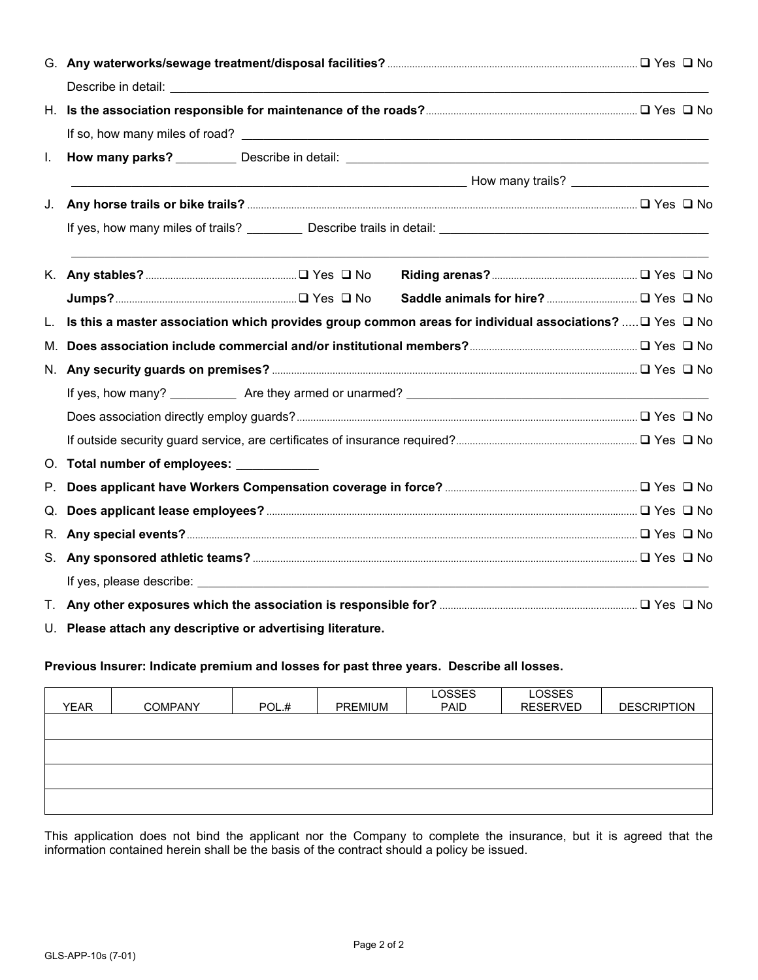| L. |                                                             |  |                                                                                                                  |  |  |
|----|-------------------------------------------------------------|--|------------------------------------------------------------------------------------------------------------------|--|--|
|    |                                                             |  | ——————————————————— How many trails? ______________________                                                      |  |  |
| J. |                                                             |  |                                                                                                                  |  |  |
|    |                                                             |  |                                                                                                                  |  |  |
|    |                                                             |  |                                                                                                                  |  |  |
|    |                                                             |  |                                                                                                                  |  |  |
| L. |                                                             |  | Is this a master association which provides group common areas for individual associations? $\Box$ Yes $\Box$ No |  |  |
| M. |                                                             |  |                                                                                                                  |  |  |
|    |                                                             |  |                                                                                                                  |  |  |
|    |                                                             |  |                                                                                                                  |  |  |
|    |                                                             |  |                                                                                                                  |  |  |
|    |                                                             |  |                                                                                                                  |  |  |
|    | O. Total number of employees: ___________                   |  |                                                                                                                  |  |  |
| Р. |                                                             |  |                                                                                                                  |  |  |
| Q. |                                                             |  |                                                                                                                  |  |  |
|    |                                                             |  |                                                                                                                  |  |  |
|    |                                                             |  |                                                                                                                  |  |  |
|    |                                                             |  |                                                                                                                  |  |  |
|    |                                                             |  |                                                                                                                  |  |  |
|    | U. Please attach any descriptive or advertising literature. |  |                                                                                                                  |  |  |

# **Previous Insurer: Indicate premium and losses for past three years. Describe all losses.**

| <b>YEAR</b> | <b>COMPANY</b> | POL.# | PREMIUM | <b>LOSSES</b><br>PAID | <b>LOSSES</b><br><b>RESERVED</b> | <b>DESCRIPTION</b> |
|-------------|----------------|-------|---------|-----------------------|----------------------------------|--------------------|
|             |                |       |         |                       |                                  |                    |
|             |                |       |         |                       |                                  |                    |
|             |                |       |         |                       |                                  |                    |
|             |                |       |         |                       |                                  |                    |

This application does not bind the applicant nor the Company to complete the insurance, but it is agreed that the information contained herein shall be the basis of the contract should a policy be issued.